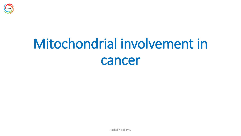

# Mitochondrial involvement in cancer

Rachel Nicoll PhD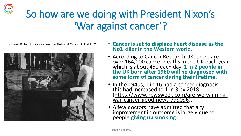### So how are we doing with President Nixon's 'War against cancer'?

President Richard Nixon signing the National Cancer Act of 1971.



- **Cancer is set to displace heart disease as the No1 killer in the Western world.**
- According to Cancer Research UK, there are over 164,000 cancer deaths in the UK each year, which is about 450 each day. **1 in 2 people in the UK born after 1960 will be diagnosed with some form of cancer during their lifetime.**
- In the 1940s, 1 in 16 had a cancer diagnosis; this had increased to 1 in 3 by 2018 [\(https://www.newsweek.com/are-we-winning](https://www.newsweek.com/are-we-winning-war-cancer-good-news-799096)war-cancer-good-news-799096).
- A few doctors have admitted that any improvement in outcome is largely due to people **giving up smoking**.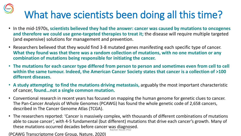# What have scientists been doing all this time?

- In the mid-1970s, **scientists believed they had the answer: cancer was caused by mutations to oncogenes and therefore we could use gene-targeted therapies to treat it;** the disease will require multiple targeted (and expensive) solutions for management and prevention.
- Researchers believed that they would find 3-8 mutated genes manifesting each specific type of cancer. **What they found was that there was a random collection of mutations, with no one mutation or any combination of mutations being responsible for initiating the cancer.**
- **The mutations for each cancer type differed from person to person and sometimes even from cell to cell within the same tumour. Indeed, the American Cancer Society states that cancer is a collection of >100 different diseases**.
- **A study attempting to find the mutations driving metastasis,** arguably the most important characteristic of cancer, **found…not a single common mutation.**
- Conventional research in recent years has focused on mapping the human genome for genetic clues to cancer. The Pan-Cancer Analysis of Whole Genomes (PCAWG) has found the whole genetic code of 2,658 cancers, described in The Cancer Genome Atlas (TCGA).
- The researchers reported: 'Cancer is massively complex, with thousands of different combinations of mutations able to cause cancer', with 4-5 fundamental (but different) mutations that drive each cancer's growth. Many of these mutations occurred decades before cancer was diagnosed. Rachel Nicoll PhD

(PCAWG Transcriptome Core Group, Nature, 2020)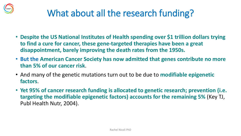

### What about all the research funding?

- **Despite the US National Institutes of Health spending over \$1 trillion dollars trying to find a cure for cancer, these gene-targeted therapies have been a great disappointment, barely improving the death rates from the 1950s.**
- **But the American Cancer Society has now admitted that genes contribute no more than 5% of our cancer risk**.
- And many of the genetic mutations turn out to be due to **modifiable epigenetic factors**.
- **Yet 95% of cancer research funding is allocated to genetic research; prevention (i.e. targeting the modifiable epigenetic factors) accounts for the remaining 5%** (Key TJ, Publ Health Nutr, 2004).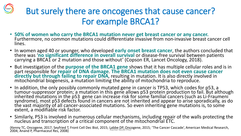### But surely there are oncogenes that cause cancer? For example BRCA1?

- **50% of women who carry the BRCA1 mutation never get breast cancer or any cancer.**  Furthermore, no common mutations could differentiate invasive from non-invasive breast cancer cell lines.
- In women aged 40 or younger, who developed **early onset breast cancer**, the authors concluded that there was '**no significant difference in overall survival** or disease-free survival between patients carrying a BRCA1 or 2 mutation and those without' (Copson ER, Lancet Oncology, 2018).
- But investigation of the **purpose of the BRCA1 gene** shows that it has multiple cellular roles and is in part responsible for **repair of DNA damage**. **The BRCA1 mutation does not even cause cancer directly but through failing to repair DNA**, resulting in mutation. It is also directly involved in mitochondrial biogenesis, a mutation limiting the ability of mitochondria to reproduce.
- In addition, the only possibly commonly mutated gene in cancer is TP53, which codes for p53, a tumour-suppressor protein; a mutation in this gene allows p53 protein production to fail. But although  $i$ nherited mutations in the p53 gene can increase risk for some familial cancers (such as Li-Fraumeni $\bar{a}$ syndrome), most p53 defects found in cancers are not inherited and appear to arise sporadically, as do the vast majority of all cancer-associated mutations. So even inheriting gene mutations is, to some extent, a modifiable risk factor.
- Similarly, P53 is involved in numerous cellular mechanisms, including repair of the walls protecting the nucleus and transcription of a critical component of the mitochondrial ETC.

(Kenny TC, Oncogene, 2017; Seyfried T, Front Cell Dec Biol, 2015; Labbe DP, Oncogene, 2015; 'The Cancer Cascade', American Medical Research, wenny To, Oncogenc, 2017, Seymed I, Hont Cen Bee Bloi, 2019, Rachel Nicoll PhD.<br>2004; Anand P, Pharmaceut Res, 2008)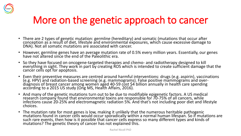

### More on the genetic approach to cancer

- There are 2 types of genetic mutation: germline (hereditary) and somatic (mutations that occur after conception as a result of diet, lifestyle and environmental exposures, which cause excessive damage to DNA). Not all somatic mutations are associated with cancer.
- However, germline genes have an average mutation rate of 0.5% every million years. Essentially, our genes have not altered since the end of the Paleolithic era.
- So they have focused on oncogene-targeted therapies and chemo- and radiotherapy designed to kill everything in sight. They work in part by creating ROS which is intended to create sufficient damage that the cancer cells opt for apoptosis.
- Even their preventive measures are centred around harmful interventions: drugs (e.g. aspirin), vaccinations (e.g. HPV) and radiation-based screening (e.g. mammograms). False positive mammograms and overdiagnosis of breast cancer among women aged 40-59 cost \$4 billion annually in health care spending according to a 2015 US study (Ong MS, Health Affairs, 2016).
- And many of the genetic mutations turn out to be due to modifiable epigenetic factors. A US medical research company found that environmental toxins are responsible for 70-75% of all cancers, while infections cause 20-25% and electromagnetic radiation 5%. And that's not including poor diet and lifestyle choices.
- The mutation rate for most genes is low, making it unlikely that the numerous heritable pathogenic mutations found in cancer cells would occur sporadically within a normal human lifespan. So if mutations are such rare events, then how is it possible that cancer cells express so many different types and kinds of mutations? The genetic theory of cancer has not explained this.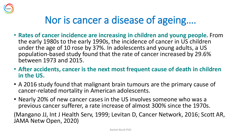

### Nor is cancer a disease of ageing….

- **Rates of cancer incidence are increasing in children and young people.** From the early 1980s to the early 1990s, the incidence of cancer in US children under the age of 10 rose by 37%. In adolescents and young adults, a US population-based study found that the rate of cancer increased by 29.6% between 1973 and 2015.
- **After accidents, cancer is the next most frequent cause of death in children in the US.**
- A 2016 study found that malignant brain tumours are the primary cause of cancer-related mortality in American adolescents.
- Nearly 20% of new cancer cases in the US involves someone who was a previous cancer sufferer, a rate increase of almost 300% since the 1970s.

(Mangano JJ, Int J Health Serv, 1999; Levitan D, Cancer Network, 2016; Scott AR, JAMA Netw Open, 2020)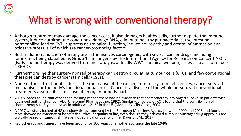

### What is wrong with conventional therapy?

- Although treatment may damage the cancer cells, it also damages healthy cells, further deplete the immune system, induce autoimmune conditions, damage DNA, eliminate healthy gut bacteria, cause intestinal permeability, lead to CVD, suppress neurological function, induce neuropathy and create inflammation and oxidative stress, all of which are cancer-promoting factors.
- Both radiation and chemotherapy are in themselves carcinogenic, with several cancer drugs, including tamoxifen, being classified as Group 1 carcinogens by the International Agency for Research on Cancer (IARC). (Early chemotherapy was derived from mustard gas, a deadly WW1 chemical weapon). They also act to reduce OXPHOS.
- Furthermore, neither surgery nor radiotherapy can destroy circulating tumour cells (CTCs) and few conventional therapies can destroy cancer stem cells (CSCs).
- None of these treatments address the root cause of the cancer, immune system deficiencies, cancer survival mechanisms or the body's functional imbalances. Cancer is a disease of the whole person, yet conventional treatments assume it is a disease of an organ or body part.
- A 1992 paper found that other than for lung cancer, there was no evidence that chemotherapy prolonged survival in patients with advanced epithelial cancer (Abel U, Biomed Pharmacother, 1992). Similarly, a review of RCTs found that the contribution of chemotherapy to 5-year survival in adults was 2.1% in the US (Morgan G, Clin Oncol, 2004).
- A 2017 UK study looked at 48 oncology drugs approved by the European Medicines Agency between 2009 and 2013 and found that most showed no evidence of benefit to survival or quality of life, even though they achieved tumour shrinkage; drug approvals are typically based on tumour shrinkage, not survival or quality of life (Davis C, BMJ, 2017).
- Radiotherapy and surgery have been around for 100 years, chemotherapy since the late 1940s.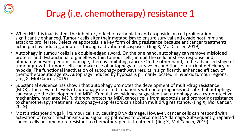

### Drug (i.e. chemotherapy) resistance 1

- When HIF-1 is inactivated, the inhibitory effect of carboplatin and etoposide on cell proliferation is significantly enhanced. Tumour cells alter their metabolism to ensure survival and evade host immune attack to proliferate. Defective apoptosis is a key form of drug resistance because anticancer treatments act in part by inducing apoptosis through activation of caspases. (Jing X, Mol Cancer, 2019)
- Autophagy in tumour cells is a double-edged sword. On the one hand, autophagy can remove misfolded proteins and dysfunctional organelles within tumour cells, inhibit the cellular stress response and ultimately prevent genomic damage, thereby inhibiting cancer. On the other hand, in the advanced stage of tumour growth, tumour cells can make use of autophagy to survive in conditions of nutrient deficiency or hypoxia. The functional inactivation of autophagy pathways results in significantly enhanced efficacy of chemotherapeutic agents. Autophagy induced by hypoxia is primarily located in hypoxic tumour regions. (Jing X, Mol Cancer, 2019)
- Substantial evidence has shown that autophagy promotes the development of multi-drug resistance (MDR). The elevated levels of autophagy detected in patients with poor prognosis indicate that autophagy can catalyse the development of MDR. Cumulative evidence suggested that autophagy, as a cytoprotective mechanism, mediated MDR, thereby protecting MDR cancer cells from apoptosis and promoting resistance to chemotherapy treatment. Autophagy-suppressors can abolish multidrug resistance. (Jing X, Mol Cancer, 2019)
- Most anticancer drugs kill tumour cells by causing DNA damage. However, cancer cells can respond with activation of repair mechanisms and signalling pathways to overcome DNA damage. Subsequently, repaired cancer cells become more resistant to chemotherapeutic treatment. (Jing X, Mol Cancer, 2019)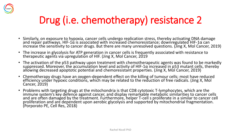

### Drug (i.e. chemotherapy) resistance 2

- Similarly, on exposure to hypoxia, cancer cells undergo replication stress, thereby activating DNA damage and repair pathways. HIF-1 $\alpha$  is associated with increased chemoresistance; downregulated HIF-1 $\alpha$  can increase the sensitivity to cancer drugs. But there are many unresolved questions. (Jing X, Mol Cancer, 2019)
- The increase in glycolysis for ATP generation in cancer cells is frequently associated with resistance to therapeutic agents via upregulation of HIF. (Jing X, Mol Cancer, 2019
- The activation of the p53 pathway upon treatment with chemotherapeutic agents was found to be markedly suppressed. Moreover, the accumulation level and activity of HIF-1 $\alpha$  increased in p53 mutant cells, thereby allowing decreased apoptotic potential and chemoresistant properties. (Jing X, Mol Cancer, 2019)
- Chemotherapy drugs have an oxygen-dependent effect on the killing of tumour cells; most have reduced efficiency under hypoxic conditions, which may be related to the reduction of free radicals. (Jing X, Mol Cancer, 2019)
- Problems with targeting drugs at the mitochondria is that CD8 cytotoxic T-lymphocytes, which are the immune system's key defence against cancer, and display remarkable metabolic similarities to cancer cells and are often damaged by the treatment. Furthermore, helper T-cell s proliferate in a similar to cancer cell proliferation and are dependent upon aerobic glycolysis and supported by mitochondrial fragmentation. (Porporato PE, Cell Res, 2018)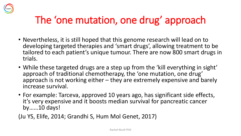

### The 'one mutation, one drug' approach

- Nevertheless, it is still hoped that this genome research will lead on to developing targeted therapies and 'smart drugs', allowing treatment to be tailored to each patient's unique tumour. There are now 800 smart drugs in trials.
- While these targeted drugs are a step up from the 'kill everything in sight' approach of traditional chemotherapy, the 'one mutation, one drug' approach is not working either – they are extremely expensive and barely increase survival.
- For example: Tarceva, approved 10 years ago, has significant side effects, it's very expensive and it boosts median survival for pancreatic cancer by……10 days!

(Ju YS, Elife, 2014; Grandhi S, Hum Mol Genet, 2017)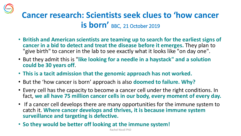

### **Cancer research: Scientists seek clues to 'how cancer is born'** BBC, 21 October 2019

- **British and American scientists are teaming up to search for the earliest signs of cancer in a bid to detect and treat the disease before it emerges.** They plan to "give birth" to cancer in the lab to see exactly what it looks like "on day one".
- But they admit this is "**like looking for a needle in a haystack" and a solution could be 30 years off**.
- **This is a tacit admission that the genomic approach has not worked.**
- But the 'how cancer is born' approach is also **doomed to failure. Why?**
- Every cell has the capacity to become a cancer cell under the right conditions. In fact, **we all have 75 million cancer cells in our body, every moment of every day.**
- If a cancer cell develops there are many opportunities for the immune system to catch it. **Where cancer develops and thrives, it is because immune system surveillance and targeting is defective.**
- **So they would be better off looking at the immune system!**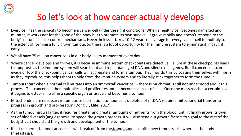

### So let's look at how cancer actually develops

- Every cell has the capacity to become a cancer cell under the right conditions. When a healthy cell becomes damaged and mutates, it works not for the good of the body but to promote its own survival. It grows rapidly and doesn't respond to the body's natural cellular control mechanisms. Nevertheless, it takes 10-12 years on average for every cancer cell to multiply to the extent of forming a fully grown tumour. So there is a lot of opportunity for the immune system to eliminate it, if caught early.
- We all have 75 million cancer cells in our body, every moment of every day.
- Where cancer develops and thrives, it is because immune system checkpoints are defective. Failure at these checkpoints leads to apoptosis as the immune system will search out and repair damaged DNA and silence oncogenes. But if cancer cells can evade or fool the checkpoint, cancer cells will aggregate and form a tumour. They may do this by coating themselves with fibrin as they reproduce; this helps them to hide from the immune system and to literally stick together to form the tumour.
- Tumours start when a normal cell mutates into an 'immortal' cancer cell there is much that is still not understood about this process. This cancer cell then multiplies and proliferates until it becomes a mass of cells. Once the mass reaches a certain level, it begins to establish itself in a specific organ or tissue and becomes a tumour.
- Mitochondria are necessary in tumour cell formation; tumour cells depleted of mtDNA required mitochondrial transfer to progress in growth and proliferation (Dong LF, Elife, 2017).
- As the tumour grows larger, it requires greater and greater amounts of nutrients from the blood, until it finally grows its own set of blood vessels (angiogenesis) to speed the growth process. It will also send out growth factors to signal to the rest of the body that it should aid the growth and development of the tumour.
- If left unchecked, some cancer cells will break off from the tumour and establish new tumours, elsewhere in the body (metastasis).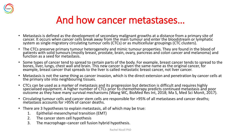

### And how cancer metastases…

- Metastasis is defined as the development of secondary malignant growths at a distance from a primary site of cancer. It occurs when cancer cells break away from the main tumour and enter the bloodstream or lymphatic system as single migratory circulating tumour cells (CTCs) or as multicellular groupings (CTC clusters).  $\check{ }$
- The CTCs preserve primary tumour heterogeneity and mimic tumour properties. They are found in the blood of patients with solid tumours (mostly breast, prostate, brain, ovary, pancreas and colon cancer and melanoma) and function as a seed for metastasis.
- Some types of cancer tend to spread to certain parts of the body. For example, breast cancer tends to spread to the bones, liver, lungs, chest wall and brain. This new cancer is given the same name as the original cancer, for example, breast cancer that spreads to the liver is called metastatic breast cancer, not liver cancer.
- Metastasis is not the same thing as cancer invasion, which is the direct extension and penetration by cancer cells at the primary site into neighbouring tissues.
- CTCs can be used as a marker of metastasis and its progression but detection is difficult and requires highly specialised equipment. A higher number of CTCs prior to chemotherapy predicts continued metastasis and poor outcome as they have many survival mechanisms (Wang WC, BioMed Res Int, 2018; Ma S, Med Sci Monit, 2017).
- Circulating tumour cells and cancer stem cells are responsible for >95% of all metastases and cancer deaths; metastasis accounts for >95% of cancer deaths.
- There are 3 hypotheses to explain metastasis, all of which may be true:
	- 1. Epithelial-mesenchymal transition (EMT)
	- 2. The cancer stem cell hypothesis
	- 3. The macrophage–cancer cell fusion hybrid hypothesis.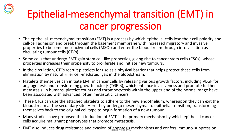### Epithelial-mesenchymal transition (EMT) in cancer progression

- The epithelial–mesenchymal transition (EMT) is a process by which epithelial cells lose their cell polarity and cell-cell adhesion and break through the basement membrane with increased migratory and invasive properties to become mesenchymal cells (MSCs) and enter the bloodstream through intravasation as circulating tumour cells (CTCs).
- Some cells that undergo EMT gain stem cell-like properties, giving rise to cancer stem cells (CSCs), whose properties increases their propensity to proliferate and initiate new tumours.
- In the circulation, CTCs recruit platelets for use as a physical barrier that helps protect these cells from elimination by natural killer cell-mediated lysis in the bloodstream.
- Platelets themselves can initiate EMT in cancer cells by releasing various growth factors, including VEGF for angiogenesis and transforming growth factor  $\beta$  (TGF- $\beta$ ), which enhance invasiveness and promote further metastasis. In humans, platelet counts and thrombocytosis within the upper end of the normal range have been associated with advanced, often metastatic, cancers.
- These CTCs can use the attached platelets to adhere to the new endothelium, whereupon they can exit the bloodstream at the secondary site. Here they undergo mesenchymal to epithelial transition, transforming themselves back to the original cell type to begin formation of a new tumour.
- Many studies have proposed that induction of EMT is the primary mechanism by which epithelial cancer cells acquire malignant phenotypes that promote metastasis.
- EMT also induces drug resistance and evasion of apoptosis mechanisms and confers immuno-suppression.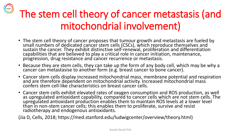## The stem cell theory of cancer metastasis (and mitochondrial involvement)

- The stem cell theory of cancer proposes that tumour growth and metastasis are fueled by small numbers of dedicated cancer stem cells (CSCs), which reproduce themselves and sustain the cancer. They exhibit distinctive self-renewal, proliferation and differentiation capabilities that are believed to play a critical role in cancer initiation, maintenance, progression, drug resistance and cancer recurrence or metastasis.
- Because they are stem cells, they can take up the form of any body cell, which may be why a cancer can metastasise to another form (e.g. breast cancer to bone cancer).
- Cancer stem cells display increased mitochondrial mass, membrane potential and respiration and are therefore dependent on mitochondrial activity. Increased mitochondrial mass confers stem cell-like characteristics on breast cancer cells.
- Cancer stem cells exhibit elevated rates of oxygen consumption and ROS production, as well as upregulated antioxidant capability, compared to cancer cells which are not stem cells. The upregulated antioxidant production enables them to maintain ROS levels at a lower level than in non-stem cancer cells; this enables them to proliferate, survive and resist radiotherapy and endogenous antioxidants.

(Jia D, Cells, 2018; https://med.stanford.edu/ludwigcenter/overview/theory.html)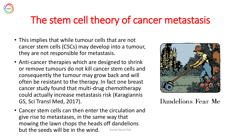

### The stem cell theory of cancer metastasis

- This implies that while tumour cells that are not cancer stem cells (CSCs) may develop into a tumour, they are not responsible for metastasis.
- Anti-cancer therapies which are designed to shrink or remove tumours do not kill cancer stem cells and consequently the tumour may grow back and will often be resistant to the therapy. In fact one breast cancer study found that multi-drug chemotherapy could actually increase metastasis risk (Karagiannis GS, Sci Transl Med, 2017).
- Cancer stem cells can then enter the circulation and give rise to metastases, in the same way that mowing the lawn chops the heads off dandelions but the seeds will be in the wind. A Rachel Nicoll PhD



Dandelions Fear Me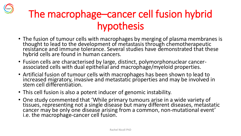### The macrophage–cancer cell fusion hybrid hypothesis

- The fusion of tumour cells with macrophages by merging of plasma membranes is thought to lead to the development of metastasis through chemotherapeutic resistance and immune tolerance. Several studies have demonstrated that these hybrid cells are found in human cancers.
- Fusion cells are characterised by large, distinct, polymorphonuclear cancerassociated cells with dual epithelial and macrophage/myeloid properties.
- Artificial fusion of tumour cells with macrophages has been shown to lead to increased migratory, invasive and metastatic properties and may be involved in stem cell differentiation.
- This cell fusion is also a potent inducer of genomic instability.
- One study commented that 'While primary tumours arise in a wide variety of tissues, representing not a single disease but many different diseases, metastatic cancer may be only one disease arising from a common, non-mutational event' i.e. the macrophage-cancer cell fusion.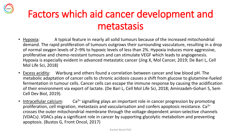### Factors which aid cancer development and metastasis

- Hypoxia: A typical feature in nearly all solid tumours because of the increased mitochondrial demand. The rapid proliferation of tumours outgrows their surrounding vasculature, resulting in a drop of normal oxygen levels of 2–9% to hypoxic levels of less than 2%. Hypoxia induces more aggressive, proliferative and chemo-resistant tumours and can stimulate VEGF which leads to angiogenesis. Hypoxia is especially evident in advanced metastatic cancer (Jing X, Mol Cancer, 2019; De Bari L, Cell Mol Life Sci, 2018)
- Excess acidity: Warburg and others found a correlation between cancer and low blood pH. The metabolic adaptation of cancer cells to chronic acidosis causes a shift from glucose to glutamine-fueled fermentation in tumour cells. Cancer cells can escape the immune response by causing the acidification of their environment via export of lactate. (De Bari L, Cell Mol Life Sci, 2018; Aminzadeh-Gohari S, Sem Cell Dev Biol, 2019).
- Intracellular calcium: Ca<sup>2+</sup> signalling plays an important role in cancer progression by promoting proliferation, cell migration, metastasis and vascularisation and confers apoptosis resistance.  $Ca^{2+}$ crosses the outer mitochondrial membrane through the voltage-dependent anion-selective channels (VDACs). VDACs play a significant role in cancer by supporting glycolytic metabolism and preventing apoptosis. (Bustos G, Front Oncol, 2017)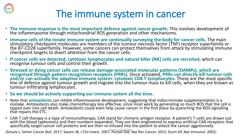

### The immune system in cancer

- **The immune response is the most important defence against cancer growth.** This involves development of the inflammasome through mitochondrial ROS generation and other mechanisms.
- **Immune cells of the innate immune system are continually surveying the body for cancer cells.** The main stimulatory checkpoint molecules are members of the tumour necrosis factor (TNF) receptor superfamily or the B7-CD28 superfamily. However, some cancers can protect themselves from attack by stimulating immune checkpoint targets to divert attention from the cancer cells.
- **If cancer cells are detected, cytotoxic lymphocytes and natural killer (NK) cells are recruited**, which can recognise tumour cells and control their growth.
- **Stressed or dying cancer cells can release damage-associated molecular patterns (DAMPs), which are recognised through pattern recognition receptors (PRRs)**. Once activated, **PRRs can directly kill tumour cells and/or can activate the adaptive immune system**: **cytotoxic CD8 T-lymphocytes**. These are the most specific line of defence against tumour growth and migrate into the tumour mass to kill cells, when they are known as tumour-infiltrating lymphocytes.
- **So we should be actively supporting our immune system all the time.**
- Note that **antioxidants** can inhibit inflammasome development, suggesting that indiscriminate supplementation is a mistake. Antioxidants also make chemotherapy less effective, since most work by generating so much ROS that the cell is tipped over into cell death. Antioxidants could even help cause cancer in the first place by quenching the ROS signalling that repairs the ETC.
- CAR-T cell therapy is a type of immunotherapy; CAR stand for chimeric antigen receptor. A patient's T-cells are drawn out with the blood (aphoresis) and their numbers expanded. They are then engineered to express artificial CAR receptors that specifically target cancer cell proteins and are then re-infused into the patient to attack the cancer aggressively.

(Simula L, Semin Cancer Biol, 2017; Swann JB, J Clin Invest. 2007; Pardoll DM, Nat Rev Cancer, 2012; Dunn GP, Nat Immunol. 2002)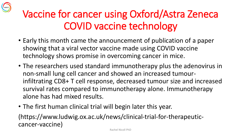

### Vaccine for cancer using Oxford/Astra Zeneca COVID vaccine technology

- Early this month came the announcement of publication of a paper showing that a viral vector vaccine made using COVID vaccine technology shows promise in overcoming cancer in mice.
- The researchers used standard immunotherapy plus the adenovirus in non-small lung cell cancer and showed an increased tumourinfiltrating CD8+ T cell response, decreased tumour size and increased survival rates compared to immunotherapy alone. Immunotherapy alone has had mixed results.
- The first human clinical trial will begin later this year.

(https://www.ludwig.ox.ac.uk/news/clinical-trial-for-therapeuticcancer-vaccine)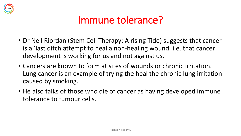

### Immune tolerance?

- Dr Neil Riordan (Stem Cell Therapy: A rising Tide) suggests that cancer is a 'last ditch attempt to heal a non-healing wound' i.e. that cancer development is working for us and not against us.
- Cancers are known to form at sites of wounds or chronic irritation. Lung cancer is an example of trying the heal the chronic lung irritation caused by smoking.
- He also talks of those who die of cancer as having developed immune tolerance to tumour cells.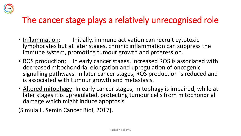

### The cancer stage plays a relatively unrecognised role

- Inflammation: Initially, immune activation can recruit cytotoxic lymphocytes but at later stages, chronic inflammation can suppress the immune system, promoting tumour growth and progression.
- ROS production: In early cancer stages, increased ROS is associated with decreased mitochondrial elongation and upregulation of oncogenic signalling pathways. In later cancer stages, ROS production is reduced and is associated with tumour growth and metastasis.
- Altered mitophagy: In early cancer stages, mitophagy is impaired, while at later stages it is upregulated, protecting tumour cells from mitochondrial damage which might induce apoptosis

(Simula L, Semin Cancer Biol, 2017).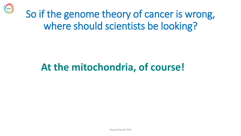

### So if the genome theory of cancer is wrong, where should scientists be looking?

### **At the mitochondria, of course!**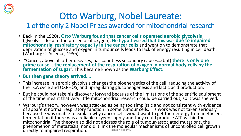

### Otto Warburg, Nobel Laureate:

1 of the only 2 Nobel Prizes awarded for mitochondrial research

- Back in the 1920s, **Otto Warburg found that cancer cells operated aerobic glycolysis**  (glycolysis despite the presence of oxygen). **He hypothesised that this was due to impaired mitochondrial respiratory capacity in the cancer cells** and went on to demonstrate that deprivation of glucose and oxygen in tumour cells leads to lack of energy resulting in cell death. (Warburg O, Science, 1956)
- "Cancer, above all other diseases, has countless secondary causes…(but) **there is only one**  prime cause....the replacement of the respiration of oxygen in normal body cells by the **fermentation of sugar**". This became known as the **Warburg Effect.**
- **But then gene theory arrived….**
- This increase in aerobic glycolysis changes the bioenergetics of the cell, reducing the activity of the TCA cycle and OXPHOS, and upregulating gluconeogenesis and lactic acid production.
- But he could not take his discovery forward because of the limitations of the scientific equipment of the time meant that very little mitochondrial research could be carried out, so it was shelved.
- Warburg's theory, however, was attacked as being too simplistic and not consistent with evidence of apparent normal respiratory function in some tumour cells. His work was not taken seriously because he was unable to explain why cancer cells would want to get their energy from inefficient fermentation if there was a reliable oxygen supply and they could produce ATP within the mitochondria. The theory also did not address the role of tumour-associated mutations, the phenomenon of metastasis, nor did it link the molecular mechanisms of uncontrolled cell growth directly to impaired respiration.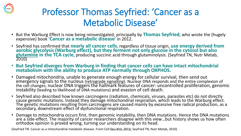

### Professor Thomas Seyfried: 'Cancer as a Metabolic Disease'

- But the Warburg Effect is now being reinvestigated, principally by **Thomas Seyfried**, who wrote the (hugely expensive) book '**Cancer as a metabolic disease**' in 2012.
- Seyfried has confirmed that **nearly all cancer cells**, regardless of tissue origin, **use energy derived from aerobic glycolysis (Warburg effect), but they ferment not only glucose in the cytosol but also glutamine in the TCA cycle**, producing succinic acid through glutaminolysis. (Seyfried TN, Nutr Metab, 2010)
- **But Seyfried diverges from Warburg in finding that cancer cells can have intact mitochondrial metabolism with the ability to produce ATP normally through OXPHOS.**
- Damaged mitochondria, unable to generate enough energy for cellular survival, then send out emergency signals to the nucleus (retrograde signalling). Nuclear DNA responds and the entire complexion of the cell changes; nuclear DNA triggers the hallmark features of cancer: uncontrolled proliferation, genomic instability (leading to likelihood of DNA mutations) and evasion of cell death.
- Seyfried also described how known carcinogens (radiation, chemicals, viruses, parasites etc) do not directly cause genetic mutations. Instead they damage mitochondrial respiration, which leads to the Warburg effect. The genetic mutations resulting from carcinogens are caused mainly by excessive free radical production, as a secondary, downstream effect of dysfunctional respiration.
- Damage to mitochondria occurs first, then genomic instability, then DNA mutations. Hence the DNA mutations are a side-effect. The majority of cancer researchers disagree with this view...but history shows us how often orthodox opinion is proved wrong, turning our understanding on its head.

(Seyfried TN. Cancer as a mitochondrial metabolic disease. Front Cell Dev Biol. 2016; Seyfried TN, Nutr Metab, 2010)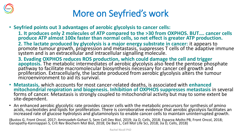

### More on Seyfried's work

- **Seyfried points out 3 advantages of aerobic glycolysis to cancer cells:**
	- **1. It produces only 2 molecules of ATP compared to the >30 from OXPHOS. BUT…. cancer cells produce ATP almost 100x faster than normal cells, so net effect is greater ATP production.**
	- **2. The lactate produced by glycolysis is a major energy substrate in cancer:** it appears to promote tumour growth, progression and metastasis, suppresses T cells of the adaptive immune system and is an extracellular and intracellular signalling molecule.
	- **3. Evading OXPHOS reduces ROS production, which could damage the cell and trigger apoptosis.** The metabolic intermediates of aerobic glycolysis also feed the pentose phosphate pathway to facilitate macromolecular biosynthesis necessary for cancer cell growth and proliferation. Extracellularly, the lactate produced from aerobic glycolysis alters the tumour microenvironment to aid its survival.
- **Metastasis,** which accounts for most cancer-related deaths, is associated with **enhanced mitochondrial respiration and biogenesis. Inhibition of OXPHOS suppresses metastasis** in several forms of cancer. Metastasis is strongly coupled to mitochondrial activity but may to some extent be site-dependent.
- An enhanced aerobic glycolytic rate provides cancer cells with the metabolic precursors for synthesis of amino acids, nucleotides and lipids for proliferation. There is corroborative evidence that aerobic glycolysis facilitates an increased rate of glucose hydrolysis and glutaminolysis to enable cancer cells to maintain uninterrupted growth.

(Bustos G, Front Oncol, 2017; Aminzadeh-Gohari S, Sem Cell Dev Biol, 2019; Jia D, Cells, 2018; Esparza-Molto PB, Front Oncol, 2018; Ganapathy-Kanniappan S, Crit Rev Biochem Mol Biol, 2018; De Bari L, Cell Mol Life Sci, 2018; Jia D, Cells, 2018)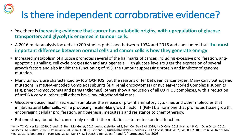# Is there independent corroborative evidence?

- Yes, there is **increasing evidence that cancer has metabolic origins, with upregulation of glucose transporters and glycolytic enzymes in tumour cells**.
- A 2016 meta-analysis looked at >200 studies published between 1934 and 2016 and concluded that **the most important difference between normal cells and cancer cells is how they generate energy**.
- Increased metabolism of glucose promotes several of the hallmarks of cancer, including excessive proliferation, antiapoptotic signalling, cell cycle progression and angiogenesis. High glucose levels trigger the expression of several growth factors and also inhibit the functioning of p53, the tumour suppressing protein and inhibitor of genome mutation.
- Many tumours are characterized by low OXPHOS, but the reasons differ between cancer types. Many carry pathogenic mutations in mtDNA-encoded Complex I subunits (e.g. renal oncocytomas) or nuclear-encoded Complex II subunits (e.g. pheochromocytomas and paragangliomas); others show a reduction of all OXPHOS complexes, with a reduction of mtDNA copy number; still others have low mitochondrial mass.
- Glucose-induced insulin secretion stimulates the release of pro-inflammatory cytokines and other molecules that inhibit natural killer cells, while producing insulin-like growth factor 1 (IGF-1), a hormone that promotes tissue growth, encouraging cellular proliferation, angiogenesis, metastasis and resistance to chemotherapy.
- But one study found that cancer only results if the mutations alter mitochondrial function.

(Kenny TC, Cancer Res, 2019; Grandhi S, Hum Mol Genet, 2017; Aminzadeh-Gohari S, Sem Cell Dev Biol, 2019; Jia D, Cells, 2018; Hainault P, Curr Opin Oncol, 2012; Coussens LM, Nature, 2002; Niknamian S, Int Sci Inv J, 2016; Klement RJ, Nutr Wetab, 2010; J Clo Invest, 2014; Wu Y, FASEB J, 2010; Bustin SA, Trends Mol Med, 2001; Kaipparettu BA, PLoS One, 2013; Wang X, Cell Death Differ, 2015; Anand P, Pharmaceut Res, 2008)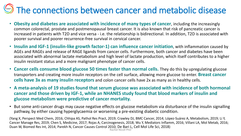### The connections between cancer and metabolic disease

- **Obesity and diabetes are associated with incidence of many types of cancer**, including the increasingly common colorectal, prostate and postmenopausal breast cancer. It is also known that risk of pancreatic cancer is increased in patients with T2D and vice versa - i.e. the relationship is bidirectional. In addition, T2D is associated with poorer survival and poorer recurrence-free survival in cervical cancer.
- **Insulin and IGF-1 (insulin-like growth factor-1) can influence cancer initiation**, with inflammation caused by AGEs and RAGEs and release of RAGE ligands from cancer cells. Furthermore, both cancer and diabetes have been associated with abnormal lactate metabolism and high level of lactate production, which itself contributes to a higher insulin resistant status and a more malignant phenotype of cancer cells.
- **Cancer cells consume blood glucose 50 times faster than normal cells.** They do this by upregulating glucose transporters and creating more insulin receptors on the cell surface, allowing more glucose to enter. **Breast cancer cells have 3x as many insulin receptors** and colon cancer cells have 2x as many as in healthy cells.
- **A meta-analysis of 19 studies found that serum glucose was associated with incidence of both hormonal cancer and those driven by IGF-1, while an NHANES study found that blood markers of insulin and glucose metabolism were predictive of cancer mortality.**
- But some anti-cancer drugs may cause negative effects on glucose metabolism via disturbance of the insulin signalling pathway, by either causing hyperglycaemia or worsening a pre-existing diabetic condition.

(Yang X, Perspect Med Chem, 2016; Chhipa AS, Pathol Res Pract, 2019; Crawley DJ, BMC Cancer, 2014; López-Suárez A, Metabolism, 2019; Li Y, Cancer Manage Res, 2019; Chen S, Medicine, 2017; Rojas A, Carcinogenesis, 2018; Wu Y, Mediators Inflamm, 2016; Villani LA, Mol Metab, 2016; Duan W, Biomed Res Int, 2014; Parekh N, Cancer Causes Control 2010; De Bari L, Cell Mol Life Sci, 2018) Rachel Nicoll PhD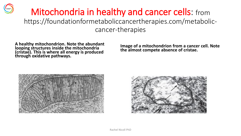### Mitochondria in healthy and cancer cells: from https://foundationformetaboliccancertherapies.com/metaboliccancer-therapies

**A healthy mitochondrion. Note the abundant looping structures inside the mitochondria (cristae). This is where all energy is produced through oxidative pathways.**

**Image of a mitochondrion from a cancer cell. Note the almost compete absence of cristae.**



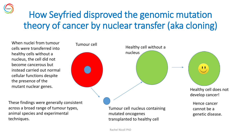

### How Seyfried disproved the genomic mutation theory of cancer by nuclear transfer (aka cloning)

Tumour cell **Healthy cell without a** 

nucleus

When nuclei from tumour cells were transferred into healthy cells without a nucleus, the cell did not become cancerous but instead carried out normal cellular functions despite the presence of the mutant nuclear genes.

These findings were generally consistent across a broad range of tumour types, animal species and experimental techniques.

Tumour cell nucleus containing mutated oncogenes transplanted to healthy cell

Healthy cell does not develop cancer!

 $\blacksquare$ 

Hence cancer cannot be a genetic disease.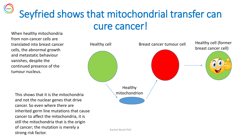Seyfried shows that mitochondrial transfer can cure cancer!

When healthy mitochondria from non-cancer cells are translated into breast cancer cells, the abnormal growth and metastatic behaviour vanishes, despite the continued presence of the tumour nucleus.



This shows that it is the mitochondria and not the nuclear genes that drive cancer. So even where there are inherited germ line mutations that cause cancer to affect the mitochondria, it is still the mitochondria that is the origin of cancer; the mutation is merely a strong risk factor.

Rachel Nicoll PhD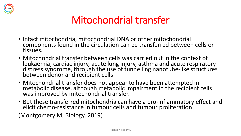

### Mitochondrial transfer

- Intact mitochondria, mitochondrial DNA or other mitochondrial components found in the circulation can be transferred between cells or tissues.
- Mitochondrial transfer between cells was carried out in the context of leukaemia, cardiac injury, acute lung injury, asthma and acute respiratory distress syndrome, through the use of tunnelling nanotube-like structures between donor and recipient cells.
- Mitochondrial transfer does not appear to have been attempted in metabolic disease, although metabolic impairment in the recipient cells was improved by mitochondrial transfer.
- But these transferred mitochondria can have a pro-inflammatory effect and elicit chemo-resistance in tumour cells and tumour proliferation.

(Montgomery M, Biology, 2019)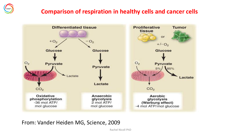#### **Comparison of respiration in healthy cells and cancer cells**



From: Vander Heiden MG, Science, 2009

Rachel Nicoll PhD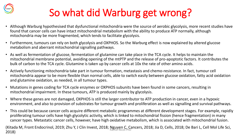

### So what did Warburg get wrong?

- Although Warburg hypothesised that dysfunctional mitochondria were the source of aerobic glycolysis, more recent studies have found that cancer cells can have intact mitochondrial metabolism with the ability to produce ATP normally, although mitochondria may be more fragmented, which tends to facilitate glycolysis.
- Furthermore, tumours can rely on both glycolysis and OXPHOS. So the Warburg effect is now explained by altered glucose metabolism and aberrant mitochondrial signalling pathways.
- As well as fermentation of glucose, fermentation of glutamine can take place in the TCA cycle. It helps to maintain the mitochondrial membrane potential, avoiding opening of the mtPTP and the release of pro-apoptotic factors. It contributes the bulk of carbon to the TCA cycle. Glutamine is taken up by cancer cells at 10x the rate of other amino acids.
- Actively functioning mitochondria take part in tumour formation, metastasis and chemo-resistance. In fact, tumour cell mitochondria appear to be more flexible than normal cells, able to switch easily between glucose oxidation, fatty acid oxidation and glutamine oxidation, as needed, in all tumour types.
- Mutations in genes coding for TCA cycle enzymes or OXPHOS subunits have been found in some cancers, resulting in mitochondrial impairment. In these tumours, ATP is produced mainly by glycolysis.
- Where these genes are not damaged, OXPHOS is still the larger contributor to ATP production in cancer, even in a hypoxic environment, and also to provision of substrates for tumour growth and proliferation as well as signalling and survival pathways.
- This could be because cancer cells acquire different metabolic programmes at different development stages. For example, rapidly proliferating tumour cells have high glycolytic activity, which is linked to mitochondrial fission (hence fragmentation) in many cancer types. Metastatic cancer cells, however, have high oxidative metabolism, which is associated with mitochondrial fusion.

(Kitada M, Front Endocrinol, 2019; Zhu Y, J Clin Invest, 2018; Nguyen C, Cancers, 2018; Jia D, Cells, 2018; De Bari L, Cell Mol Life Sci, reduction, a care Engles and type Engles (see and threed, Essex, 2018)<br>2018)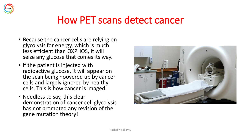

### How PET scans detect cancer

- Because the cancer cells are relying on glycolysis for energy, which is much less efficient than OXPHOS, it will seize any glucose that comes its way.
- If the patient is injected with radioactive glucose, it will appear on the scan being hoovered up by cancer cells and largely ignored by healthy cells. This is how cancer is imaged.
- Needless to say, this clear demonstration of cancer cell glycolysis has not prompted any revision of the gene mutation theory!

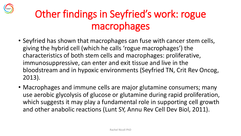

### Other findings in Seyfried's work: rogue macrophages

- Seyfried has shown that macrophages can fuse with cancer stem cells, giving the hybrid cell (which he calls 'rogue macrophages') the characteristics of both stem cells and macrophages: proliferative, immunosuppressive, can enter and exit tissue and live in the bloodstream and in hypoxic environments (Seyfried TN, Crit Rev Oncog, 2013).
- Macrophages and immune cells are major glutamine consumers; many use aerobic glycolysis of glucose or glutamine during rapid proliferation, which suggests it may play a fundamental role in supporting cell growth and other anabolic reactions (Lunt SY, Annu Rev Cell Dev Biol, 2011).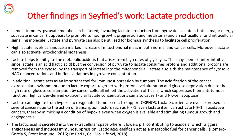### Other findings in Seyfried's work: Lactate production

- In most tumours, pyruvate metabolism is altered, favouring lactate production from pyruvate. Lactate is both a major energy substrate in cancer (it appears to promote tumour growth, progression and metastasis) and an extracellular and intracellular signalling molecule. Lactate and pyruvate can also be utilised for biomass synthesis to facilitate cell proliferation.
- High lactate levels can induce a marked increase of mitochondrial mass in both normal and cancer cells. Moreover, lactate can also activate mitochondrial biogenesis.
- Lactate helps to mitigate the metabolic acidosis that arises from high rates of glycolysis. This may seem counter-intuitive since lactate is an acid (lactic acid) but the conversion of pyruvate to lactate consumes protons and additional protons are removed from the cytosol by the transport of lactate into the mitochondria. Lactate also aids the maintenance of cytosolic NAD+ concentrations and buffers variations in pyruvate concentration.
- In addition, lactate acts as an important tool for immunosuppression by tumours. The acidification of the cancer extracellular environment due to lactate export, together with proton level alteration and glucose deprivation due to the high rate of glucose consumption by cancer cells, all inhibit the activation of T cells, which suppresses their anti-tumour function. High cancer-derived extracellular lactate concentrations can also cause T- and NK-cell apoptosis.
- Lactate can migrate from hypoxic to oxygenated tumour cells to support OXPHOS. Lactate carriers are over-expressed in several cancers due to the action of transcription factors such as HIF-1. Even lactate itself can activate HIF-1 in oxidative cancers, thereby mimicking a condition of hypoxia even when oxygen is available and stimulating tumour growth and angiogenesis.
- The lactic acid is secreted into the extracellular space where it lowers pH, contributing to acidosis, which triggers angiogenesis and induces immunosuppression. Lactic acid itselfrcan act as a metabolic fuel for cancer cells. (Romero-Garcia S, Front Immunol, 2016; De Bari L, Cell Mol Life Sci, 2018)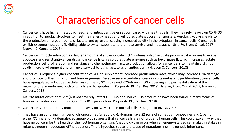

### Characteristics of cancer cells

- Cancer cells have higher metabolic needs and antioxidant defenses compared with healthy cells. They may rely heavily on OXPHOS in addition to aerobic glycolysis to meet their energy needs and will upregulate glucose transporters. Aerobic glycolysis leads to the production of large amounts of lactate and pyruvate, causing increased acidity in the cytoplasm in cancer cells. Cancer cells exhibit extreme metabolic flexibility, able to switch substrate to promote survival and metastasis. (Urra FA, Front Oncol, 2017; Nguyen C, Cancers, 2018)
- Cancer cell mitochondria contain higher amounts of anti-apoptotic Bcl2 proteins, which activate pro-survival enzymes to evade apoptosis and resist anti-cancer drugs. Cancer cells can also upregulate enzymes such as hexokinase II, which increases lactate production, cell proliferation and resistance to chemotherapy; lactate production allows for cancer cells to maintain a slightly acidic micro-environment and enhance survival by using lactate as an antioxidant. (Nguyen C, Cancers, 2018)
- Cancer cells require a higher concentration of ROS to supplement increased proliferation rates, which may increase DNA damage and promote further mutation and tumourigenesis. Because severe oxidative stress inhibits metastatic proliferation , cancer cells have upregulated antioxidative defenses (primarily SOD) to avoid ROS-driven mtPTP opening and permeabilisation of the mitochondrial membrane, both of which lead to apoptosis. (Porporato PE, Cell Res, 2018; Urra FA, Front Oncol, 2017; Nguyen C, Cancers, 2018).
- MtDNA mutations that mildly (but not severely) affect OXPHOS and induce ROS production have been found in many forms of tumour but induction of mitophagy limits ROS production (Porporato PE, Cell Res, 2018).
- Cancer cells appear to rely much more heavily on NAMPT than normal cells (Zhu Y, J Clin Invest, 2018).
- They have an abnormal number of chromosomes (aneuploidy). Humans have 22 pairs of somatic chromosomes and 1 pair of either XX (male) or XY (female). So aneuploidy suggests that cancer cells are not properly human cells. This could explain why they have no concern for the health of the host human organism. Aneuploidy can occur when an energy-starved cell makes mistakes in mitosis through inadequate ATP production. This is hypothesised as the cause of mutations, not the genetic inheritance.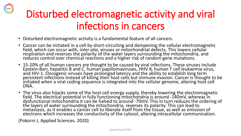

### Disturbed electromagnetic activity and viral infections in cancers

- Disturbed electromagnetic activity is a fundamental feature of all cancers.
- Cancer can be initiated in a cell by short-circuiting and dampening the cellular electromagnetic field, which can occur with, *inter alia*, viruses or mitochondrial defects. This lowers cellular respiration and reverses the polarity of the water layers surrounding the mitochondria, and reduces control over chemical reactions and a higher risk of random gene mutations.
- 15-20% of all human cancers are thought to be caused by viral infections. These viruses include Epstein-Barr, hepatitis B and C, human papillomaviruses, HHV 8, human T cell leukaemia virus, and HIV-1. Oncogenic viruses have prolonged latency and the ability to establish long term persistent infections instead of killing their host cells but immune evasion. Cancer is thought to be initiated when a viral coding sequence is integrated into the cellular genome, altering host cell DNA.
- The virus also hijacks some of the host cell energy supply, thereby lowering the electromagnetic field. The electrical potential in fully functioning mitochondria is around -140mV, whereas in  $\,$ dysfunctional mitochondria it can be halved to around -70mV. This in turn reduces the ordering of the layers of water surrounding the mitochondria, reverses its polarity. This can lead to metastasis, as it enables a cancer cell to liberate itself from the tissue, as well as emission of electrons which increases the conductivity of the cytosol, altering intracellular communication.

(Pokorni J, Applied Sciences. 2020)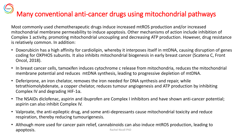# Many conventional anti-cancer drugs using mitochondrial pathways

Most commonly used chemotherapeutic drugs induce increased mtROS production and/or increased mitochondrial membrane permeability to induce apoptosis. Other mechanisms of action include inhibition of Complex 1 activity, promoting mitochondrial uncoupling and decreasing ATP production. However, drug resistance is relatively common. In addition:

- Doxorubicin has a high affinity for cardiolipin, whereby it interposes itself in mtDNA, causing disruption of genes coding for OXPHOS subunits. It also inhibits mitochondrial biogenesis in early breast cancer (Scatena C, Front Oncol, 2018).
- In breast cancer cells, tamoxifen induces cytochrome c release from mitochondria, reduces the mitochondrial membrane potential and reduces mtDNA synthesis, leading to progressive depletion of mtDNA.
- Deferiprone, an iron chelator, removes the iron needed for DNA synthesis and repair, while tetrathiomolybdenate, a copper chelator, reduces tumour angiogenesis and ATP production by inhibiting Complex IV and degrading HIF-1 $\alpha$ .
- The NSAIDs diclofenac, aspirin and ibuprofen are Complex I inhibitors and have shown anti-cancer potential; aspirin can also inhibit Complex IV.
- Valproate, the anti-epileptic drug, and some anti-depressants cause mitochondrial toxicity and reduce respiration, thereby reducing tumourigenesis.
- Although more used for cancer pain relief, cannabinoids can also induce mtROS production, leading to apoptosis. **All and Separate Incollect PhD** Rachel Nicoll PhD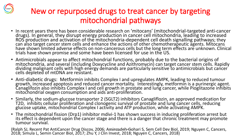

### New or repurposed drugs to treat cancer by targeting mitochondrial pathways

- In recent years there has been considerable research on 'mitocans' (mitochondrial-targeted anti-cancer drugs). In general, they disrupt energy production in cancer cell mitochondria, leading to increased ROS production and activation of the mitochondria-dependent cell death signalling pathways; they can also target cancer stem cells and enhance the actions of other chemotherapeutic agents. Mitocans have shown limited adverse effects on non-cancerous cells but the long term effects are unknown. Clinical trials have shown promise and some have been licensed for use in the US.
- Antimicrobials appear to affect mitochondrial functions, probably due to the bacterial origins of mitochondria, and several (including Doxycycline and Azithromycin) can target cancer stem cells. Rapidly dividing malignant cells with high energy demands are particularly sensitive to antimicrobials but cancer cells depleted of mtDNA are resistant.
- Anti-diabetic drugs: Metformin inhibits Complex I and upregulates AMPK, leading to reduced tumour growth, increased apoptosis and reduced cancer mortality. Interestingly, metformin is a purinergic agent. Canaglifozin also inhibits Complex I and cell growth in prostate and lung cancer, while Pioglitazone inhibits mitochondrial oxygen consumption and aids anti-proliferation.
- Similarly, the sodium-glucose transporter 2 (SGLT2) inhibitors Canagliflozin, an approved medication for T2D, inhibits cellular proliferation and clonogenic survival of prostate and lung cancer cells, reducing glucose uptake, mitochondrial Complex I activity and ATP production, while activating AMPK.
- The mitochondrial fission (Drp1) inhibitor mdivi-1 has shown success in inducing proliferation arrest but its effect is dependent upon the cancer stage and there is a danger that chronic treatment may promote tumour survival.

(Ralph SJ, Recent Pat AntiCancer Drug Discov, 2006; Aminzadeh-Gohari S, Sem Cell Dev Biol, 2019; Nguyen C, Cancers, 2018; Simula L, Semin Cancer Biol, 2017; Zhu Y, J Clin Invest, 2018; Nguyen C, Cancers, 2018) Ratheladtel NPHD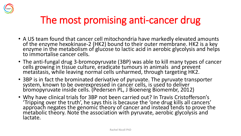

### The most promising anti-cancer drug

- A US team found that cancer cell mitochondria have markedly elevated amounts of the enzyme hexokinase-2 (HK2) bound to their outer membrane. HK2 is a key enzyme in the metabolism of glucose to lactic acid in aerobic glycolysis and helps to immortalise cancer cells.
- The anti-fungal drug 3-bromopyruvate (3BP) was able to kill many types of cancer cells growing in tissue culture, eradicate tumours in animals and prevent metastasis, while leaving normal cells unharmed, through targeting HK2.
- 3BP is in fact the brominated derivative of pyruvate. The pyruvate transporter system, known to be overexpressed in cancer cells, is used to deliver bromopyruvate inside cells. (Pedersen PL, J Bioenerg Biomembr, 2012)
- Why have clinical trials for 3BP not been carried out? In Travis Cristofferson's 'Tripping over the truth', he says this is because the 'one drug kills all cancers' approach negates the genomic theory of cancer and instead tends to prove the metabolic theory. Note the association with pyruvate, aerobic glycolysis and lactate.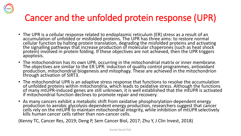

### Cancer and the unfolded protein response (UPR)

- The UPR is a cellular response related to endoplasmic reticulum (ER) stress as a result of an accumulation of unfolded or misfolded proteins. The UPR has three aims: to restore normal cellular function by halting protein translation, degrading the misfolded proteins and activating the signalling pathways that increase production of molecular chaperones (such as heat shock protein) involved in protein folding. If these objectives are not achieved, then the UPR triggers apoptosis.
- The mitochondrion has its own UPR, occurring in the mitochondrial matrix or inner membrane. The objectives are similar to the ER UPR: induction of quality control programmes, antioxidant production, mitochondrial biogenesis and mitophagy. These are achieved in the mitochondrion through activation of SIRT3.
- The mitochondrial UPR is an adaptive stress response that functions to resolve the accumulation of unfolded proteins within mitochondria, which leads to oxidative stress. Although the functions of many mtUPR-induced genes are still unknown, it is well established that the mtUPR is activated if mitochondrial function declines to promote repair and recovery.
- As many cancers exhibit a metabolic shift from oxidative phosphorylation-dependent energy production to aerobic glycolysis-dependent energy production, researchers suggest that cancer cells rely on the mtUPR to maintain mitochondrial integrity, while inhibition of mtUPR selectively kills human cancer cells rather than non-cancer cells.

(Kenny TC, Cancer Res, 2019; Deng P, Sem Cancer Biol, 2017; Zhu Y, J Clin Invest, 2018)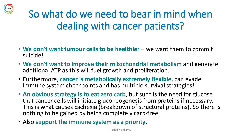

### So what do we need to bear in mind when dealing with cancer patients?

- We don't want tumour cells to be healthier we want them to commit suicide!
- **We don't want to improve their mitochondrial metabolism** and generate additional ATP as this will fuel growth and proliferation.
- Furthermore, **cancer is metabolically extremely flexible**, can evade immune system checkpoints and has multiple survival strategies!
- **An obvious strategy is to eat zero carb**, but such is the need for glucose that cancer cells will initiate gluconeogenesis from proteins if necessary. This is what causes cachexia (breakdown of structural proteins). So there is nothing to be gained by being completely carb-free.
- Also **support the immune system as a priority**.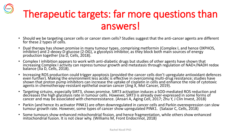### Therapeutic targets: far more questions than answers!

- Should we be targeting cancer cells or cancer stem cells? Studies suggest that the anti-cancer agents are different for these 2 types of cells.
- Dual therapy has shown promise in many tumour types, comprising metformin (Complex I, and hence OXPHOS, inhibitor) and 2-deoxy-D-glucose (2-DG), a glycolysis inhibitor, as they block both main sources of energy production together (Jia D, Cells, 2018).
- Complex I inhibition appears to work with anti-diabetic drugs but studies of other agents have shown that increasing Complex I activity can repress tumour growth and metastasis through regulation of NAD+/NADH redox balance (Jia D, Cells, 2018).
- Increasing ROS production could trigger apoptosis (provided the cancer cells don't upregulate antioxidant defences even further). Making the environment less acidic is effective in overcoming multi-drug resistance; studies have shown that proton pump inhibitors can increase the uptake of cisplatin in cells and enhance the role of cytotoxic agents in chemotherapy-resistant epithelial ovarian cancer (Jing X, Mol Cancer, 2019).
- Targeting sirtuins, especially SIRT3, shows promise. SIRT3 activation induces a SOD-mediated ROS reduction and decreases the high glycolysis rate in tumour cells. However, SIRT3 is already over-expressed in some forms of cancer and may be associated with chemoresistance. (Ansari A, Aging Cell, 2017; Zhu Y, J Clin Invest, 2018)
- Parkin (and hence its activator PINK1) are often downregulated in cancer cells and Parkin overexpression can slow tumour growth rate. However, some types of cancer show upregulated PINK1. (Salazar C, Cells, 2018)
- Some tumours show enhanced mitochondrial fission, and hence fragmentation, while others show enhanced mitochondrial fusion. It is not clear why. (Williams M, Front Endocrinol, 2018)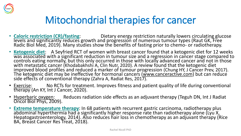

### Mitochondrial therapies for cancer

- **Caloric restriction (CR)/fasting:** Dietary energy restriction naturally lowers circulating glucose levels and significantly reduces growth and progression of numerous tumour types (Raut GK, Free Radic Biol Med, 2019). Many studies show the benefits of fasting prior to chemo- or radiotherapy.
- **Ketogenic diet**: A Seyfried RCT of women with breast cancer found that a ketogenic diet for 12 weeks was associated with a significant reduction in tumour size and a regression in cancer stage compared to controls eating normally, but this only occurred in those with locally advanced cancer and not in those with metastatic cancer (Khodabakhshi A, Clin Nutr, 2020). A review found that the ketogenic diet improved blood profiles and reduced a marker of tumour progression (Chung HY, J Cancer Prev, 2017). The ketogenic diet may be ineffective for hormonal cancers <u>(www.canceractive.com</u>) but can reduce side effects of conventional therapy (Zahra A, Radiat Res, 201 $\overline{7}$ ).
- Exercise: No RCTs for treatment. Improves fitness and patient quality of life during conventional therapy (An KY, Int J Cancer, 2020).
- Hyperbaric oxygen: Reduces radiation side effects as an adjuvant therapy (Teguh DN, Int J Radiat Oncol Biol Phys, 2009).
- **Extreme temperature therapy**: In 68 patients with recurrent gastric carcinoma, radiotherapy plus abdominal hyperthermia had a significantly higher response rate than radiotherapy alone (Lyu X, Hepatogastroenterology, 2014). Also reduces hair loss in chemotherapy as an adjuvant therapy (Rice BA, Breast Cancer Res Treat, 2018).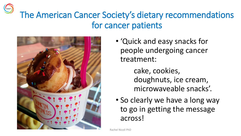### The American Cancer Society's dietary recommendations for cancer patients



- 'Quick and easy snacks for people undergoing cancer treatment:
	- cake, cookies, doughnuts, ice cream, microwaveable snacks'.
- So clearly we have a long way to go in getting the message across!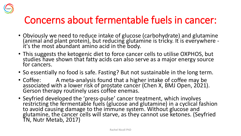

### Concerns about fermentable fuels in cancer:

- Obviously we need to reduce intake of glucose (carbohydrate) and glutamine (animal and plant protein), but reducing glutamine is tricky. It is everywhere it's the most abundant amino acid in the body.
- This suggests the ketogenic diet to force cancer cells to utilise OXPHOS, but studies have shown that fatty acids can also serve as a major energy source for cancers.
- So essentially no food is safe. Fasting? But not sustainable in the long term.
- Coffee: A meta-analysis found that a higher intake of coffee may be associated with a lower risk of prostate cancer (Chen X, BMJ Open, 2021). Gerson therapy routinely uses coffee enemas.
- Seyfried developed the 'press-pulse' cancer treatment, which involves restricting the fermentable fuels (glucose and glutamine) in a cyclical fashion to avoid causing damage to the immune system. Without glucose and glutamine, the cancer cells will starve, as they cannot use ketones. (Seyfried TN, Nutr Metab, 2017)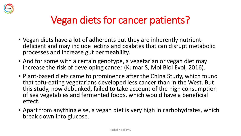

### Vegan diets for cancer patients?

- Vegan diets have a lot of adherents but they are inherently nutrientdeficient and may include lectins and oxalates that can disrupt metabolic processes and increase gut permeability.
- And for some with a certain genotype, a vegetarian or vegan diet may increase the risk of developing cancer (Kumar S, Mol Biol Evol, 2016).
- Plant-based diets came to prominence after the China Study, which found that tofu-eating vegetarians developed less cancer than in the West. But this study, now debunked, failed to take account of the high consumption of sea vegetables and fermented foods, which would have a beneficial effect.
- Apart from anything else, a vegan diet is very high in carbohydrates, which break down into glucose.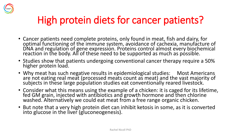

### High protein diets for cancer patients?

- Cancer patients need complete proteins, only found in meat, fish and dairy, for optimal functioning of the immune system, avoidance of cachexia, manufacture of DNA and regulation of gene expression. Proteins control almost every biochemical reaction in the body. All of these need to be supported as much as possible.
- Studies show that patients undergoing conventional cancer therapy require a 50% higher protein load.
- Why meat has such negative results in epidemiological studies: Most Americans are not eating real meat (processed meats count as meat) and the vast majority of subjects in these large population studies eat conventionally reared livestock.
- Consider what this means using the example of a chicken: it is caged for its lifetime, fed GM grain, injected with antibiotics and growth hormone and then chlorine washed. Alternatively we could eat meat from a free range organic chicken.
- But note that a very high protein diet can inhibit ketosis in some, as it is converted into glucose in the liver (gluconeogenesis).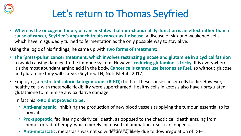

### Let's return to Thomas Seyfried

• **Whereas the oncogene theory of cancer states that mitochondrial dysfunction is an effect rather than a cause of cancer, Seyfried's approach treats cancer as 1 disease**, a disease of sick and weakened cells, which have misguidedly turned to fermentation as the only possible way to stay alive.

Using the logic of his findings, he came up with **two forms of treatment**:

- **The 'press-pulse' cancer treatment, which involves restricting glucose and glutamine in a cyclical fashion**  to avoid causing damage to the immune system. However, **reducing glutamine is tricky**. It is everywhere it's the most abundant amino acid in the body. **Cancer cells cannot use ketones as fuel**, so without glucose and glutamine they will starve. (Seyfried TN, Nutr Metab, 2017)
- Employing a **restricted calorie ketogenic diet (R-KD):** both of these cause cancer cells to die. However, healthy cells with metabolic flexibility were supercharged. Healthy cells in ketosis also have upregulated glutathione to minimise any oxidative damage.

In fact his **R-KD diet proved to be**:

- **Anti-angiogenic**, inhibiting the production of new blood vessels supplying the tumour, essential to its survival.
- **Pro-apoptotic**, facilitating orderly cell death, as opposed to the chaotic cell death ensuing from chemo- or radiotherapy, which merely increased inflammation, itself carcinogenic.
- **Anti-metastatic**: metastasis was not so widespread, likely due to downregulation of IGF-1.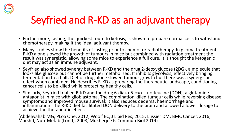

### Seyfried and R-KD as an adjuvant therapy

- Furthermore, fasting, the quickest route to ketosis, is shown to prepare normal cells to withstand chemotherapy, making it the ideal adjuvant therapy.
- Many studies show the benefits of fasting prior to chemo- or radiotherapy. In glioma treatment, R-KD alone slowed the growth of tumours in mice but combined with radiation treatment the result was synergistic, allowing some mice to experience a full cure. It is thought the ketogenic diet may act as an immune adjuvant.
- Seyfried also showed synergy between R-KD and the drug 2-deoxyglucose (2DG), a molecule that looks like glucose but cannot be further metabolized. It inhibits glycolysis, effectively bringing fermentation to a halt. Diet or drug alone slowed tumour growth but there was a synergistic effect when combined. He describes R-KD as preparing the therapeutic landscape, conditioning cancer cells to be killed while protecting healthy cells.
- Similarly, Seyfried trialled R-KD and the drug 6-diazo-5-oxo-L-norleucine (DON), a glutamine antagonist in mice with glioblastoma. The combination killed tumour cells while reversing disease symptoms and improved mouse survival; it also reduces oedema, haemorrhage and inflammation. The R-KD diet facilitated DON delivery to the brain and allowed a lower dosage to achieve the therapeutic effect.

(Abdelwahab MG, PLoS One, 2012; Woolf EC, J Lipid Res, 2015; Lussier DM, BMC Cancer, 2016; Marsh J, Nutr Metab (Lond), 2008; Mukherjee P. Commun Biol 2019)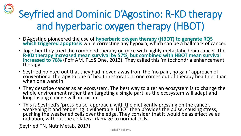Seyfried and Dominic D'Agostino: R-KD therapy and hyperbaric oxygen therapy (HBOT)

- D'Agostino pioneered the use of **hyperbaric oxygen therapy (HBOT) to generate ROS which triggered apoptosis** while correcting any hypoxia, which can be a hallmark of cancer.
- Together they tried the combined therapy on mice with highly metastatic brain cancer. The **R-KD therapy increased mean survival by 57%, but combined with HBOT mean survival increased to 78%** (Poff AM, PLoS One, 2013). They called this 'mitochondria enhancement therapy'.
- Seyfried pointed out that they had moved away from the 'no pain, no gain' approach of conventional therapy to one of health restoration: one comes out of therapy healthier than when one went in.
- They describe cancer as an ecosystem. The best way to alter an ecosystem is to change the whole environment rather than targeting a single part, as the ecosystem will adapt and long-lasting change will not occur.
- This is Seyfried's 'press-pulse' approach, with the diet gently pressing on the cancer, weakening it and rendering it vulnerable. HBOT then provides the pulse, causing stress, pushing the weakened cells over the edge. They consider that it would be as effective as radiation, without the collateral damage to normal cells.

(Seyfried TN, Nutr Metab, 2017)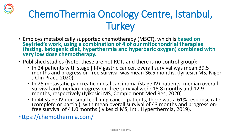

- Employs metabolically supported chemotherapy (MSCT), which is **based on Seyfried's work, using a combination of 4 of our mitochondrial therapies (fasting, ketogenic diet, hyperthermia and hyperbaric oxygen) combined with very low dose chemotherapy.**
- Published studies (Note, these are not RCTs and there is no control group):
	- In 24 patients with stage III-IV gastric cancer, overall survival was mean 39.5 months and progression free survival was mean 36.5 months. (Iyikesici MS, Niger J Clin Pract, 2020).
	- In 25 metastatic pancreatic ductal carcinoma (stage IV) patients, median overall survival and median progression-free survival were 15.8 months and 12.9 months, respectively (Iyikesici MS, Complement Med Res, 2020).
	- In 44 stage IV non-small cell lung cancer patients, there was a 61% response rate (complete or partial), with mean overall survival of 43 months and progressionfree survival of 41.0 months (Iyikesici MS, Int J Hyperthermia, 2019).

<https://chemothermia.com/>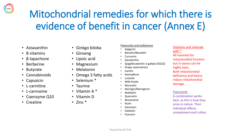### Mitochondrial remedies for which there is evidence of benefit in cancer (Annex E)

- Astaxanthin
- B vitamins
- β-lapachone
- Berberine
- Butyrate
- Cannabinoids
- Capsaicin
- L-carnitine
- L-carnosine
- Coenzyme Q10
- Creatine
- Ginkgo biloba
- Ginseng
- Lipoic acid
- Magnesium
- Melatonin
- Omega 3 fatty acids
- Selenium \*
- Taurine
- Vitamin A \*
- Vitamin D
- 
- 
- Zinc \*

#### Flavonoids and isoflavones

- Apigenin
- Baicalin/Baicalein
- Curcumin
- Epicatechin
- Epigallocatechin-3-gallate (EGCG)
- Grape seed extract
- **Icaritin**
- Kaempferol
- Luteolin
- Milk thistle
- **Myricetin**
- Naringin/Naringenin
- Nobiletin
- Quercetin
- **Resveratrol**
- Rutin
- **Genistein**
- Daidzein
- Puerarin

#### Vitamins and minerals with \* All essential for mitochondrial function but in excess can be highly toxic. Both mitochondrial

deficiency and excess induce mitochondrial damage.

#### **Flavonoids**

A combination works best, as this is how they arise in nature. Their individual effects complement each other.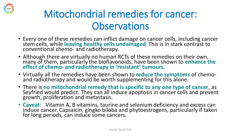

### Mitochondrial remedies for cancer: **Observations**

- Every one of these remedies can inflict damage on cancer cells, including cancer stem cells, while **leaving healthy cells undamaged**. This is in stark contrast to conventional chemo- and radiotherapy.
- Although there are virtually no human RCTs of these remedies on their own, many of them, particularly the bioflavonoids, have been shown to **enhance the effect of chemo- and radiotherapy in 'resistant' tumours.**
- Virtually all the remedies have been shown to **reduce the symptoms** of chemoand radiotherapy and would be worth supplementing for this alone.
- There is **no mitochondrial remedy that is specific to any one type of cancer**, as Seyfried would predict. They can all induce apoptosis in cancer cells and prevent growth, proliferation and metastasis.
- **Caveat**: Vitamin A, B vitamins, taurine and selenium deficiency and excess can induce cancer. Capsaicin, gingko biloba and phytoestrogens, particularly if taken for long periods, can induce some cancers.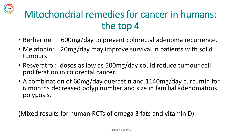### Mitochondrial remedies for cancer in humans: the top 4

- Berberine: 600mg/day to prevent colorectal adenoma recurrence.
- Melatonin: 20mg/day may improve survival in patients with solid tumours
- Resveratrol: doses as low as 500mg/day could reduce tumour cell proliferation in colorectal cancer.
- A combination of 60mg/day quercetin and 1140mg/day curcumin for 6 months decreased polyp number and size in familial adenomatous polyposis.

(Mixed results for human RCTs of omega 3 fats and vitamin D)